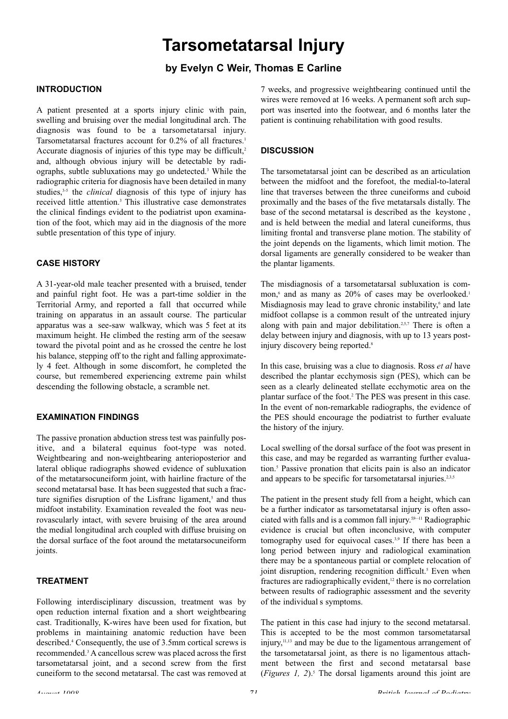# **Tarsometatarsal Injury**

## **by Evelyn C Weir, Thomas E Carline**

### **INTRODUCTION**

A patient presented at a sports injury clinic with pain, swelling and bruising over the medial longitudinal arch. The diagnosis was found to be a tarsometatarsal injury. Tarsometatarsal fractures account for 0.2% of all fractures.<sup>1</sup> Accurate diagnosis of injuries of this type may be difficult,<sup>2</sup> and, although obvious injury will be detectable by radiographs, subtle subluxations may go undetected.3 While the radiographic criteria for diagnosis have been detailed in many studies,<sup>3,5</sup> the *clinical* diagnosis of this type of injury has received little attention.3 This illustrative case demonstrates the clinical findings evident to the podiatrist upon examination of the foot, which may aid in the diagnosis of the more subtle presentation of this type of injury.

#### **CASE HISTORY**

A 31-year-old male teacher presented with a bruised, tender and painful right foot. He was a part-time soldier in the Territorial Army, and reported a fall that occurred while training on apparatus in an assault course. The particular apparatus was a see-saw walkway, which was 5 feet at its maximum height. He climbed the resting arm of the seesaw toward the pivotal point and as he crossed the centre he lost his balance, stepping off to the right and falling approximately 4 feet. Although in some discomfort, he completed the course, but remembered experiencing extreme pain whilst descending the following obstacle, a scramble net.

### **EXAMINATION FINDINGS**

The passive pronation abduction stress test was painfully positive, and a bilateral equinus foot-type was noted. Weightbearing and non-weightbearing anterioposterior and lateral oblique radiographs showed evidence of subluxation of the metatarsocuneiform joint, with hairline fracture of the second metatarsal base. It has been suggested that such a fracture signifies disruption of the Lisfranc ligament,<sup>5</sup> and thus midfoot instability. Examination revealed the foot was neurovascularly intact, with severe bruising of the area around the medial longitudinal arch coupled with diffuse bruising on the dorsal surface of the foot around the metatarsocuneiform joints.

#### **TREATMENT**

Following interdisciplinary discussion, treatment was by open reduction internal fixation and a short weightbearing cast. Traditionally, K-wires have been used for fixation, but problems in maintaining anatomic reduction have been described.4 Consequently, the use of 3.5mm cortical screws is recommended.3 A cancellous screw was placed across the first tarsometatarsal joint, and a second screw from the first cuneiform to the second metatarsal. The cast was removed at

7 weeks, and progressive weightbearing continued until the wires were removed at 16 weeks. A permanent soft arch support was inserted into the footwear, and 6 months later the patient is continuing rehabilitation with good results.

#### **DISCUSSION**

The tarsometatarsal joint can be described as an articulation between the midfoot and the forefoot, the medial-to-lateral line that traverses between the three cuneiforms and cuboid proximally and the bases of the five metatarsals distally. The base of the second metatarsal is described as the keystone , and is held between the medial and lateral cuneiforms, thus limiting frontal and transverse plane motion. The stability of the joint depends on the ligaments, which limit motion. The dorsal ligaments are generally considered to be weaker than the plantar ligaments.

The misdiagnosis of a tarsometatarsal subluxation is common,<sup>6</sup> and as many as 20% of cases may be overlooked.<sup>1</sup> Misdiagnosis may lead to grave chronic instability, $6$  and late midfoot collapse is a common result of the untreated injury along with pain and major debilitation.<sup>2,5,7</sup> There is often a delay between injury and diagnosis, with up to 13 years postinjury discovery being reported.<sup>8</sup>

In this case, bruising was a clue to diagnosis. Ross *et al* have described the plantar ecchymosis sign (PES), which can be seen as a clearly delineated stellate ecchymotic area on the plantar surface of the foot.2 The PES was present in this case. In the event of non-remarkable radiographs, the evidence of the PES should encourage the podiatrist to further evaluate the history of the injury.

Local swelling of the dorsal surface of the foot was present in this case, and may be regarded as warranting further evaluation.5 Passive pronation that elicits pain is also an indicator and appears to be specific for tarsometatarsal injuries.<sup>2,3,5</sup>

The patient in the present study fell from a height, which can be a further indicator as tarsometatarsal injury is often associated with falls and is a common fall injury. $59-11}$  Radiographic evidence is crucial but often inconclusive, with computer tomography used for equivocal cases.<sup>3,9</sup> If there has been a long period between injury and radiological examination there may be a spontaneous partial or complete relocation of joint disruption, rendering recognition difficult.<sup>5</sup> Even when fractures are radiographically evident, $12$  there is no correlation between results of radiographic assessment and the severity of the individual s symptoms.

The patient in this case had injury to the second metatarsal. This is accepted to be the most common tarsometatarsal injury,<sup>11,13</sup> and may be due to the ligamentous arrangement of the tarsometatarsal joint, as there is no ligamentous attachment between the first and second metatarsal base (*Figures 1, 2*).<sup>5</sup> The dorsal ligaments around this joint are